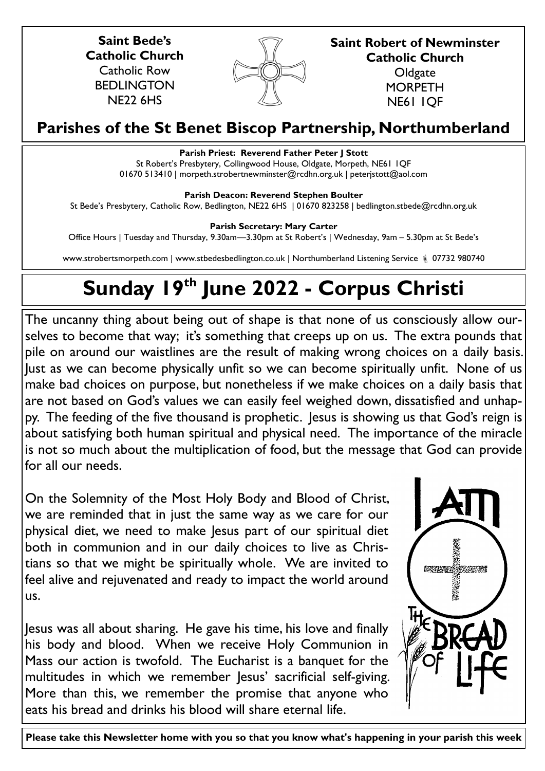**Saint Bede's Catholic Church** Catholic Row **BEDLINGTON** NE22 6HS



**Saint Robert of Newminster Catholic Church Oldgate MORPETH** NE61 1QF

# **Parishes of the St Benet Biscop Partnership, Northumberland**

# **Parish Priest: Reverend Father Peter J Stott**

St Robert's Presbytery, Collingwood House, Oldgate, Morpeth, NE61 1QF 01670 513410 | morpeth.strobertnewminster@rcdhn.org.uk | peterjstott@aol.com

**Parish Deacon: Reverend Stephen Boulter**

St Bede's Presbytery, Catholic Row, Bedlington, NE22 6HS | 01670 823258 | bedlington.stbede@rcdhn.org.uk

**Parish Secretary: Mary Carter** 

Office Hours | Tuesday and Thursday, 9.30am—3.30pm at St Robert's | Wednesday, 9am – 5.30pm at St Bede's

www.strobertsmorpeth.com | www.stbedesbedlington.co.uk | Northumberland Listening Service  $\frac{1}{6}$  07732 980740

# **Sunday 19th June 2022 - Corpus Christi**

The uncanny thing about being out of shape is that none of us consciously allow ourselves to become that way; it's something that creeps up on us. The extra pounds that pile on around our waistlines are the result of making wrong choices on a daily basis. Just as we can become physically unfit so we can become spiritually unfit. None of us make bad choices on purpose, but nonetheless if we make choices on a daily basis that are not based on God's values we can easily feel weighed down, dissatisfied and unhappy. The feeding of the five thousand is prophetic. Jesus is showing us that God's reign is about satisfying both human spiritual and physical need. The importance of the miracle is not so much about the multiplication of food, but the message that God can provide for all our needs.

On the Solemnity of the Most Holy Body and Blood of Christ, we are reminded that in just the same way as we care for our physical diet, we need to make Jesus part of our spiritual diet both in communion and in our daily choices to live as Christians so that we might be spiritually whole. We are invited to feel alive and rejuvenated and ready to impact the world around us.

Jesus was all about sharing. He gave his time, his love and finally his body and blood. When we receive Holy Communion in Mass our action is twofold. The Eucharist is a banquet for the multitudes in which we remember Jesus' sacrificial self-giving. More than this, we remember the promise that anyone who eats his bread and drinks his blood will share eternal life.



**Please take this Newsletter home with you so that you know what's happening in your parish this week**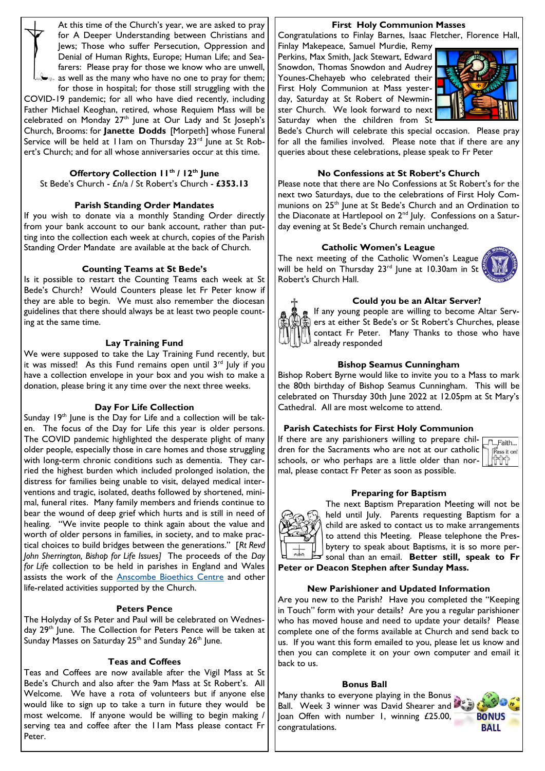At this time of the Church's year, we are asked to pray for A Deeper Understanding between Christians and Jews; Those who suffer Persecution, Oppression and Denial of Human Rights, Europe; Human Life; and Seafarers: Please pray for those we know who are unwell,  $\approx$  as well as the many who have no one to pray for them;

for those in hospital; for those still struggling with the COVID-19 pandemic; for all who have died recently, including Father Michael Keoghan, retired, whose Requiem Mass will be celebrated on Monday  $27<sup>th</sup>$  June at Our Lady and St Joseph's Church, Brooms: for **Janette Dodds** [Morpeth] whose Funeral Service will be held at  $11$ am on Thursday  $23<sup>rd</sup>$  June at St Robert's Church; and for all whose anniversaries occur at this time.

# **Offertory Collection 11th / 12th June**

St Bede's Church - £n/a / St Robert's Church - **£353.13**

#### **Parish Standing Order Mandates**

If you wish to donate via a monthly Standing Order directly from your bank account to our bank account, rather than putting into the collection each week at church, copies of the Parish Standing Order Mandate are available at the back of Church.

#### **Counting Teams at St Bede's**

Is it possible to restart the Counting Teams each week at St Bede's Church? Would Counters please let Fr Peter know if they are able to begin. We must also remember the diocesan guidelines that there should always be at least two people counting at the same time.

#### **Lay Training Fund**

We were supposed to take the Lay Training Fund recently, but it was missed! As this Fund remains open until 3<sup>rd</sup> July if you have a collection envelope in your box and you wish to make a donation, please bring it any time over the next three weeks.

# **Day For Life Collection**

Sunday 19<sup>th</sup> June is the Day for Life and a collection will be taken. The focus of the Day for Life this year is older persons. The COVID pandemic highlighted the desperate plight of many older people, especially those in care homes and those struggling with long-term chronic conditions such as dementia. They carried the highest burden which included prolonged isolation, the distress for families being unable to visit, delayed medical interventions and tragic, isolated, deaths followed by shortened, minimal, funeral rites. Many family members and friends continue to bear the wound of deep grief which hurts and is still in need of healing. "We invite people to think again about the value and worth of older persons in families, in society, and to make practical choices to build bridges between the generations." [*Rt Revd John Sherrington, Bishop for Life Issues]* The proceeds of the *Day for Life* collection to be held in parishes in England and Wales assists the work of the [Anscombe Bioethics Centre](http://www.dayforlife.org/anscombe-bioethics-centre/) and other life-related activities supported by the Church.

#### **Peters Pence**

The Holyday of Ss Peter and Paul will be celebrated on Wednesday 29<sup>th</sup> June. The Collection for Peters Pence will be taken at Sunday Masses on Saturday 25<sup>th</sup> and Sunday 26<sup>th</sup> June.

#### **Teas and Coffees**

Teas and Coffees are now available after the Vigil Mass at St Bede's Church and also after the 9am Mass at St Robert's. All Welcome. We have a rota of volunteers but if anyone else would like to sign up to take a turn in future they would be most welcome. If anyone would be willing to begin making / serving tea and coffee after the 11am Mass please contact Fr Peter.

#### **First Holy Communion Masses**

Congratulations to Finlay Barnes, Isaac Fletcher, Florence Hall,

Finlay Makepeace, Samuel Murdie, Remy Perkins, Max Smith, Jack Stewart, Edward Snowdon, Thomas Snowdon and Audrey Younes-Chehayeb who celebrated their First Holy Communion at Mass yesterday, Saturday at St Robert of Newminster Church. We look forward to next Saturday when the children from St



Bede's Church will celebrate this special occasion. Please pray for all the families involved. Please note that if there are any queries about these celebrations, please speak to Fr Peter

### **No Confessions at St Robert's Church**

Please note that there are No Confessions at St Robert's for the next two Saturdays, due to the celebrations of First Holy Communions on 25<sup>th</sup> June at St Bede's Church and an Ordination to the Diaconate at Hartlepool on 2nd July. Confessions on a Saturday evening at St Bede's Church remain unchanged.

### **Catholic Women's League**

The next meeting of the Catholic Women's League will be held on Thursday 23 $rd$  June at 10.30am in St Robert's Church Hall.



#### **Could you be an Altar Server?**

If any young people are willing to become Altar Servers at either St Bede's or St Robert's Churches, please contact Fr Peter. Many Thanks to those who have already responded

#### **Bishop Seamus Cunningham**

Bishop Robert Byrne would like to invite you to a Mass to mark the 80th birthday of Bishop Seamus Cunningham. This will be celebrated on Thursday 30th June 2022 at 12.05pm at St Mary's Cathedral. All are most welcome to attend.

# **Parish Catechists for First Holy Communion**

If there are any parishioners willing to prepare children for the Sacraments who are not at our catholic schools, or who perhaps are a little older than normal, please contact Fr Peter as soon as possible.

| aith       |
|------------|
| ass it on! |
|            |
|            |

#### **Preparing for Baptism**



The next Baptism Preparation Meeting will not be held until July. Parents requesting Baptism for a child are asked to contact us to make arrangements to attend this Meeting. Please telephone the Presbytery to speak about Baptisms, it is so more personal than an email. **Better still, speak to Fr Peter or Deacon Stephen after Sunday Mass.**

**New Parishioner and Updated Information**

Are you new to the Parish? Have you completed the "Keeping in Touch" form with your details? Are you a regular parishioner who has moved house and need to update your details? Please complete one of the forms available at Church and send back to us. If you want this form emailed to you, please let us know and then you can complete it on your own computer and email it back to us.

#### **Bonus Ball**

Many thanks to everyone playing in the Bonus Ball. Week 3 winner was David Shearer and Joan Offen with number 1, winning £25.00, congratulations.

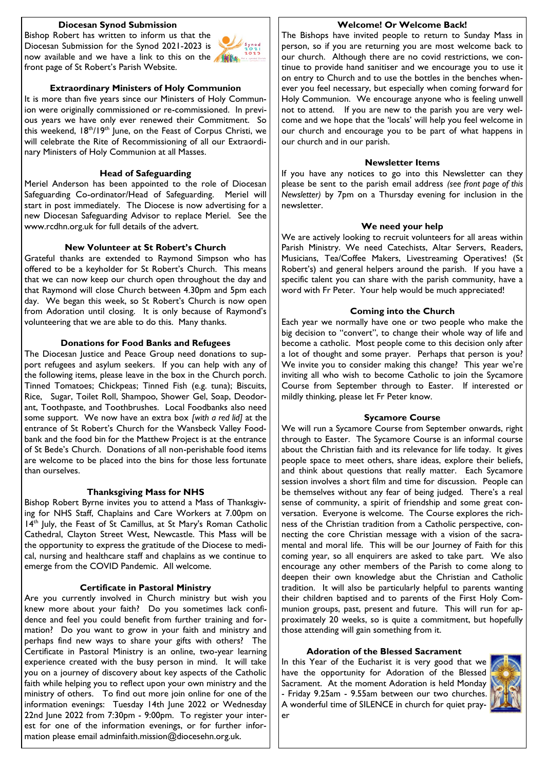### **Diocesan Synod Submission**

Bishop Robert has written to inform us that the Diocesan Submission for the Synod 2021-2023 is now available and we have a link to this on the **Altha** front page of St Robert's Parish Website.



#### **Extraordinary Ministers of Holy Communion**

It is more than five years since our Ministers of Holy Communion were originally commissioned or re-commissioned. In previous years we have only ever renewed their Commitment. So this weekend, 18<sup>th</sup>/19<sup>th</sup> June, on the Feast of Corpus Christi, we will celebrate the Rite of Recommissioning of all our Extraordinary Ministers of Holy Communion at all Masses.

#### **Head of Safeguarding**

Meriel Anderson has been appointed to the role of Diocesan Safeguarding Co-ordinator/Head of Safeguarding. Meriel will start in post immediately. The Diocese is now advertising for a new Diocesan Safeguarding Advisor to replace Meriel. See the www.rcdhn.org.uk for full details of the advert.

#### **New Volunteer at St Robert's Church**

Grateful thanks are extended to Raymond Simpson who has offered to be a keyholder for St Robert's Church. This means that we can now keep our church open throughout the day and that Raymond will close Church between 4.30pm and 5pm each day. We began this week, so St Robert's Church is now open from Adoration until closing. It is only because of Raymond's volunteering that we are able to do this. Many thanks.

#### **Donations for Food Banks and Refugees**

The Diocesan Justice and Peace Group need donations to support refugees and asylum seekers. If you can help with any of the following items, please leave in the box in the Church porch. Tinned Tomatoes; Chickpeas; Tinned Fish (e.g. tuna); Biscuits, Rice, Sugar, Toilet Roll, Shampoo, Shower Gel, Soap, Deodorant, Toothpaste, and Toothbrushes. Local Foodbanks also need some support. We now have an extra box *[with a red lid]* at the entrance of St Robert's Church for the Wansbeck Valley Foodbank and the food bin for the Matthew Project is at the entrance of St Bede's Church. Donations of all non-perishable food items are welcome to be placed into the bins for those less fortunate than ourselves.

#### **Thanksgiving Mass for NHS**

Bishop Robert Byrne invites you to attend a Mass of Thanksgiving for NHS Staff, Chaplains and Care Workers at 7.00pm on 14<sup>th</sup> July, the Feast of St Camillus, at St Mary's Roman Catholic Cathedral, Clayton Street West, Newcastle. This Mass will be the opportunity to express the gratitude of the Diocese to medical, nursing and healthcare staff and chaplains as we continue to emerge from the COVID Pandemic. All welcome.

#### **Certificate in Pastoral Ministry**

Are you currently involved in Church ministry but wish you knew more about your faith? Do you sometimes lack confidence and feel you could benefit from further training and formation? Do you want to grow in your faith and ministry and perhaps find new ways to share your gifts with others? The Certificate in Pastoral Ministry is an online, two-year learning experience created with the busy person in mind. It will take you on a journey of discovery about key aspects of the Catholic faith while helping you to reflect upon your own ministry and the ministry of others. To find out more join online for one of the information evenings: Tuesday 14th June 2022 or Wednesday 22nd June 2022 from 7:30pm - 9:00pm. To register your interest for one of the information evenings, or for further information please email adminfaith.mission $@$ diocesehn.org.uk.

# **Welcome! Or Welcome Back!**

The Bishops have invited people to return to Sunday Mass in person, so if you are returning you are most welcome back to our church. Although there are no covid restrictions, we continue to provide hand sanitiser and we encourage you to use it on entry to Church and to use the bottles in the benches whenever you feel necessary, but especially when coming forward for Holy Communion. We encourage anyone who is feeling unwell not to attend. If you are new to the parish you are very welcome and we hope that the 'locals' will help you feel welcome in our church and encourage you to be part of what happens in our church and in our parish.

#### **Newsletter Items**

If you have any notices to go into this Newsletter can they please be sent to the parish email address *(see front page of this Newsletter)* by 7pm on a Thursday evening for inclusion in the newsletter.

#### **We need your help**

We are actively looking to recruit volunteers for all areas within Parish Ministry. We need Catechists, Altar Servers, Readers, Musicians, Tea/Coffee Makers, Livestreaming Operatives! (St Robert's) and general helpers around the parish. If you have a specific talent you can share with the parish community, have a word with Fr Peter. Your help would be much appreciated!

#### **Coming into the Church**

Each year we normally have one or two people who make the big decision to "convert", to change their whole way of life and become a catholic. Most people come to this decision only after a lot of thought and some prayer. Perhaps that person is you? We invite you to consider making this change? This year we're inviting all who wish to become Catholic to join the Sycamore Course from September through to Easter. If interested or mildly thinking, please let Fr Peter know.

#### **Sycamore Course**

We will run a Sycamore Course from September onwards, right through to Easter. The Sycamore Course is an informal course about the Christian faith and its relevance for life today. It gives people space to meet others, share ideas, explore their beliefs, and think about questions that really matter. Each Sycamore session involves a short film and time for discussion. People can be themselves without any fear of being judged. There's a real sense of community, a spirit of friendship and some great conversation. Everyone is welcome. The Course explores the richness of the Christian tradition from a Catholic perspective, connecting the core Christian message with a vision of the sacramental and moral life. This will be our Journey of Faith for this coming year, so all enquirers are asked to take part. We also encourage any other members of the Parish to come along to deepen their own knowledge abut the Christian and Catholic tradition. It will also be particularly helpful to parents wanting their children baptised and to parents of the First Holy Communion groups, past, present and future. This will run for approximately 20 weeks, so is quite a commitment, but hopefully those attending will gain something from it.

#### **Adoration of the Blessed Sacrament**

In this Year of the Eucharist it is very good that we have the opportunity for Adoration of the Blessed Sacrament. At the moment Adoration is held Monday - Friday 9.25am - 9.55am between our two churches. A wonderful time of SILENCE in church for quiet prayer